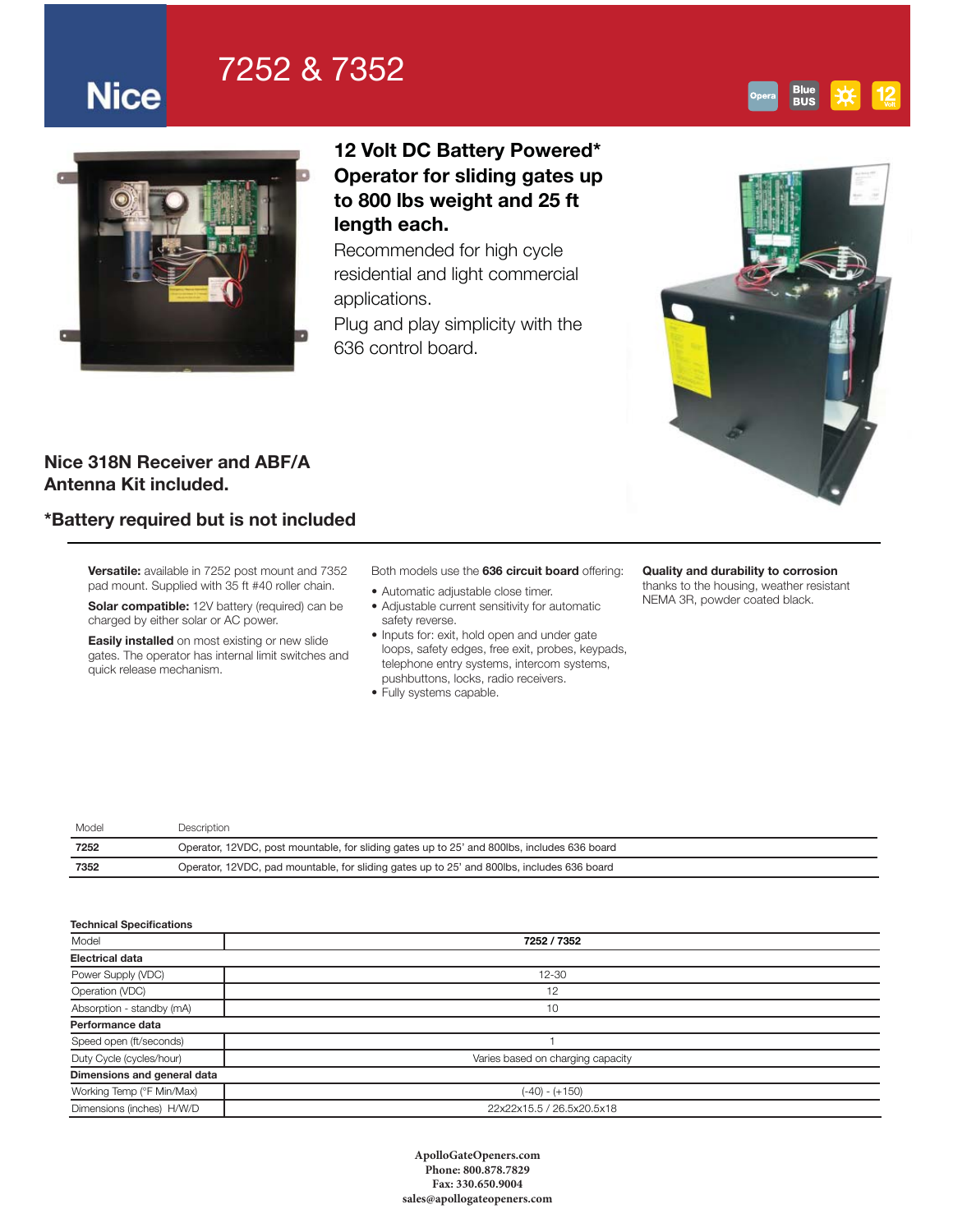# 7252 & 7352



**Nice** 

## 12 Volt DC Battery Powered\* Operator for sliding gates up to 800 lbs weight and 25 ft length each.

Recommended for high cycle residential and light commercial applications.

Plug and play simplicity with the 636 control board.



### Nice 318N Receiver and ABF/A Antenna Kit included.

## \*Battery required but is not included

Versatile: available in 7252 post mount and 7352 pad mount. Supplied with 35 ft #40 roller chain.

Solar compatible: 12V battery (required) can be charged by either solar or AC power.

Easily installed on most existing or new slide gates. The operator has internal limit switches and quick release mechanism.

### Both models use the 636 circuit board offering:

- Automatic adjustable close timer.
- Adjustable current sensitivity for automatic safety reverse.
- Inputs for: exit, hold open and under gate loops, safety edges, free exit, probes, keypads, telephone entry systems, intercom systems, pushbuttons, locks, radio receivers.
- Fully systems capable.

#### Quality and durability to corrosion

thanks to the housing, weather resistant NEMA 3R, powder coated black.

| Model | Description                                                                                 |
|-------|---------------------------------------------------------------------------------------------|
| 7252  | Operator, 12VDC, post mountable, for sliding gates up to 25' and 800lbs, includes 636 board |
| 7352  | Operator, 12VDC, pad mountable, for sliding gates up to 25' and 800lbs, includes 636 board  |
|       |                                                                                             |

| <b>Technical Specifications</b> |                                   |  |  |  |
|---------------------------------|-----------------------------------|--|--|--|
| Model                           | 7252 / 7352                       |  |  |  |
| <b>Electrical data</b>          |                                   |  |  |  |
| Power Supply (VDC)              | $12 - 30$                         |  |  |  |
| Operation (VDC)                 | 12                                |  |  |  |
| Absorption - standby (mA)       | 10                                |  |  |  |
| Performance data                |                                   |  |  |  |
| Speed open (ft/seconds)         |                                   |  |  |  |
| Duty Cycle (cycles/hour)        | Varies based on charging capacity |  |  |  |
| Dimensions and general data     |                                   |  |  |  |
| Working Temp (°F Min/Max)       | (-40) - (+150)                    |  |  |  |
| Dimensions (inches) H/W/D       | 22x22x15.5 / 26.5x20.5x18         |  |  |  |